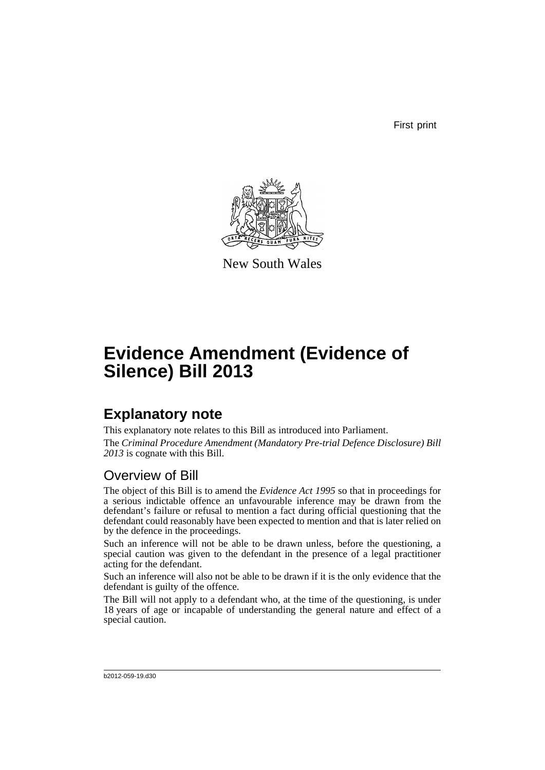First print



New South Wales

# **Evidence Amendment (Evidence of Silence) Bill 2013**

## **Explanatory note**

This explanatory note relates to this Bill as introduced into Parliament. The *Criminal Procedure Amendment (Mandatory Pre-trial Defence Disclosure) Bill 2013* is cognate with this Bill.

### Overview of Bill

The object of this Bill is to amend the *Evidence Act 1995* so that in proceedings for a serious indictable offence an unfavourable inference may be drawn from the defendant's failure or refusal to mention a fact during official questioning that the defendant could reasonably have been expected to mention and that is later relied on by the defence in the proceedings.

Such an inference will not be able to be drawn unless, before the questioning, a special caution was given to the defendant in the presence of a legal practitioner acting for the defendant.

Such an inference will also not be able to be drawn if it is the only evidence that the defendant is guilty of the offence.

The Bill will not apply to a defendant who, at the time of the questioning, is under 18 years of age or incapable of understanding the general nature and effect of a special caution.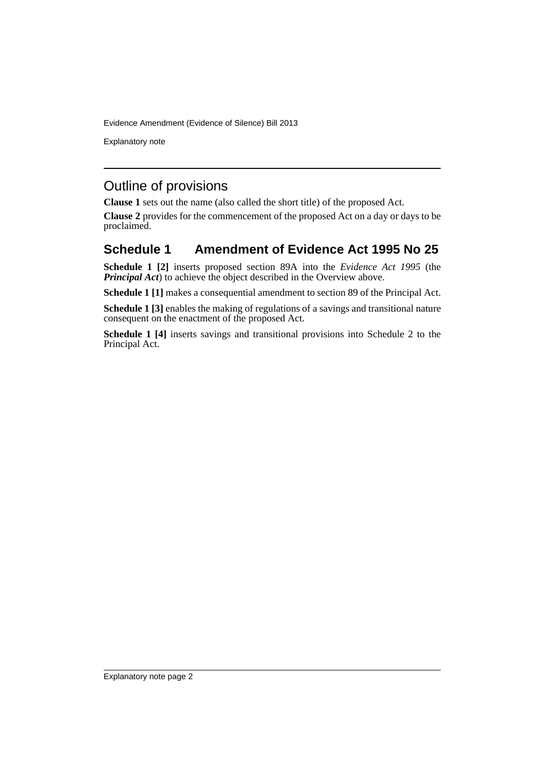Explanatory note

## Outline of provisions

**Clause 1** sets out the name (also called the short title) of the proposed Act.

**Clause 2** provides for the commencement of the proposed Act on a day or days to be proclaimed.

#### **Schedule 1 Amendment of Evidence Act 1995 No 25**

**Schedule 1 [2]** inserts proposed section 89A into the *Evidence Act 1995* (the *Principal Act*) to achieve the object described in the Overview above.

**Schedule 1 [1]** makes a consequential amendment to section 89 of the Principal Act.

**Schedule 1 [3]** enables the making of regulations of a savings and transitional nature consequent on the enactment of the proposed Act.

**Schedule 1 [4]** inserts savings and transitional provisions into Schedule 2 to the Principal Act.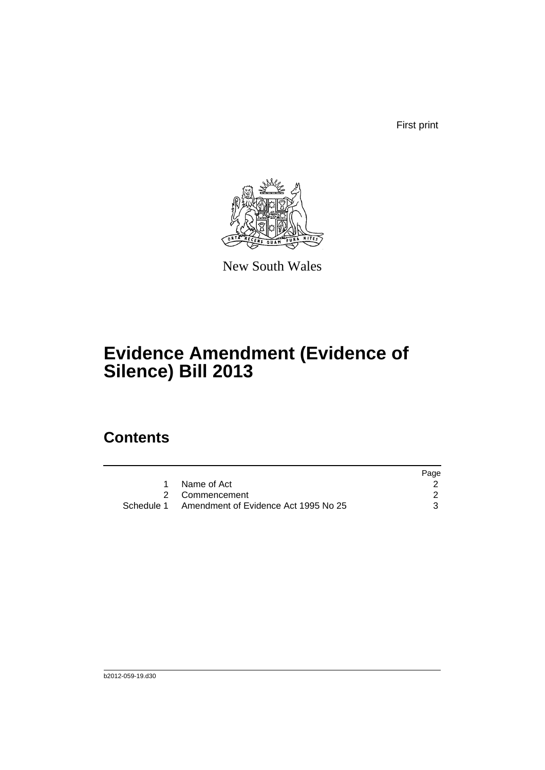First print



New South Wales

# **Evidence Amendment (Evidence of Silence) Bill 2013**

## **Contents**

|                                                 | Page |
|-------------------------------------------------|------|
| Name of Act                                     |      |
| 2 Commencement                                  |      |
| Schedule 1 Amendment of Evidence Act 1995 No 25 |      |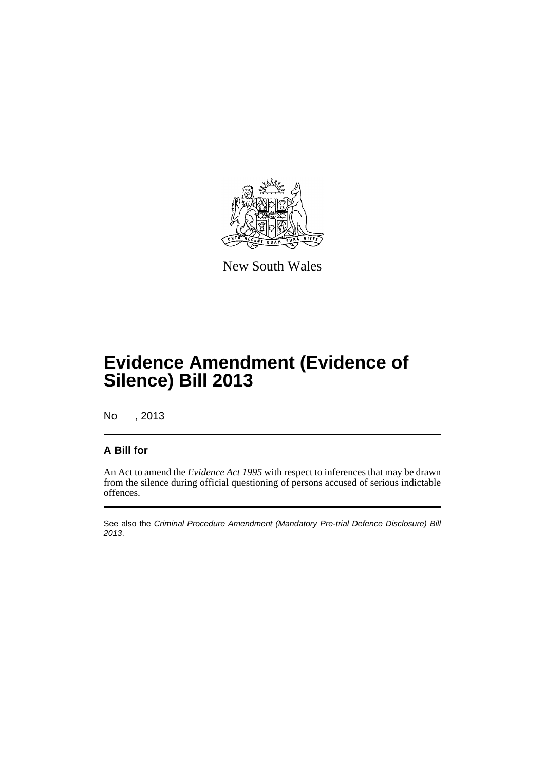

New South Wales

## **Evidence Amendment (Evidence of Silence) Bill 2013**

No , 2013

#### **A Bill for**

An Act to amend the *Evidence Act 1995* with respect to inferences that may be drawn from the silence during official questioning of persons accused of serious indictable offences.

See also the *Criminal Procedure Amendment (Mandatory Pre-trial Defence Disclosure) Bill 2013*.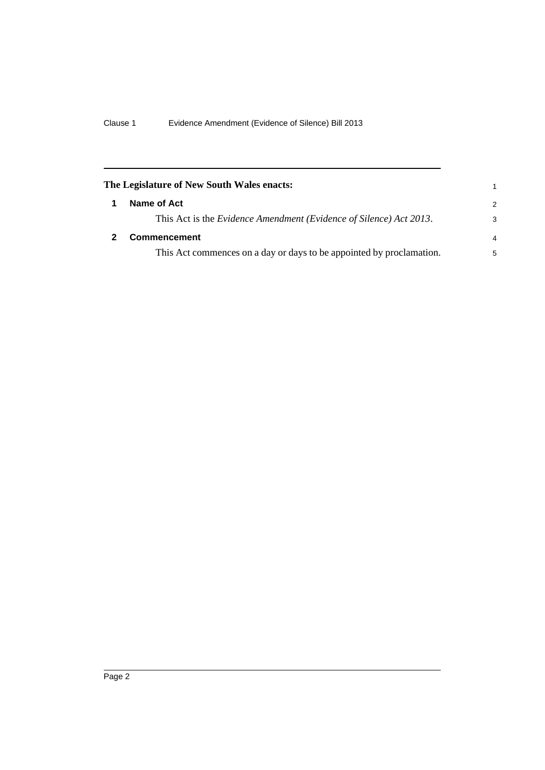<span id="page-5-1"></span><span id="page-5-0"></span>

| The Legislature of New South Wales enacts:                           | 1             |
|----------------------------------------------------------------------|---------------|
| Name of Act                                                          | $\mathcal{P}$ |
| This Act is the Evidence Amendment (Evidence of Silence) Act 2013.   | 3             |
| <b>Commencement</b>                                                  | 4             |
| This Act commences on a day or days to be appointed by proclamation. | 5             |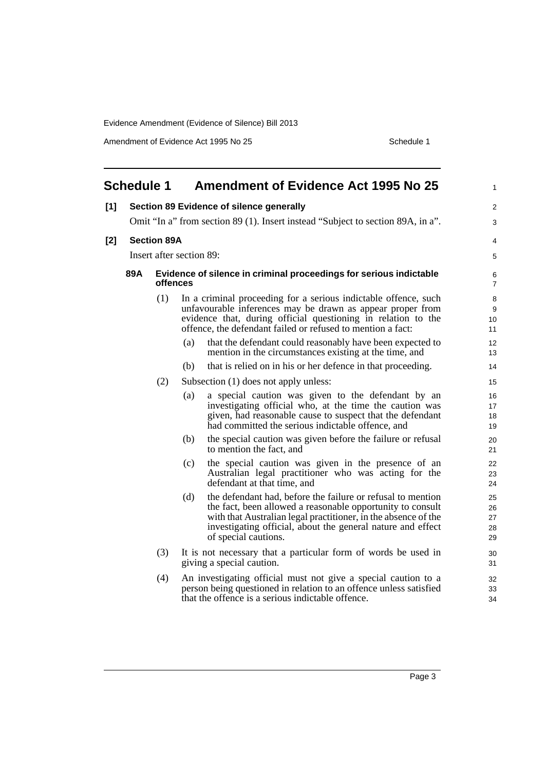Amendment of Evidence Act 1995 No 25 Schedule 1

<span id="page-6-0"></span>

|       | <b>Schedule 1</b>        |                                                                                 |                     | <b>Amendment of Evidence Act 1995 No 25</b>                                                                                                                                                                                                                                        | 1                          |  |
|-------|--------------------------|---------------------------------------------------------------------------------|---------------------|------------------------------------------------------------------------------------------------------------------------------------------------------------------------------------------------------------------------------------------------------------------------------------|----------------------------|--|
| [1]   |                          |                                                                                 |                     | Section 89 Evidence of silence generally                                                                                                                                                                                                                                           | $\overline{c}$             |  |
|       |                          | Omit "In a" from section 89 (1). Insert instead "Subject to section 89A, in a". |                     |                                                                                                                                                                                                                                                                                    |                            |  |
| $[2]$ | <b>Section 89A</b>       |                                                                                 |                     |                                                                                                                                                                                                                                                                                    |                            |  |
|       | Insert after section 89: |                                                                                 |                     |                                                                                                                                                                                                                                                                                    |                            |  |
|       | 89A                      | Evidence of silence in criminal proceedings for serious indictable              | 6<br>$\overline{7}$ |                                                                                                                                                                                                                                                                                    |                            |  |
|       |                          | (1)                                                                             |                     | In a criminal proceeding for a serious indictable offence, such<br>unfavourable inferences may be drawn as appear proper from<br>evidence that, during official questioning in relation to the<br>offence, the defendant failed or refused to mention a fact:                      | 8<br>9<br>10<br>11         |  |
|       |                          |                                                                                 | (a)                 | that the defendant could reasonably have been expected to<br>mention in the circumstances existing at the time, and                                                                                                                                                                | 12<br>13                   |  |
|       |                          |                                                                                 | (b)                 | that is relied on in his or her defence in that proceeding.                                                                                                                                                                                                                        | 14                         |  |
|       |                          | (2)                                                                             |                     | Subsection (1) does not apply unless:                                                                                                                                                                                                                                              | 15                         |  |
|       |                          |                                                                                 | (a)                 | a special caution was given to the defendant by an<br>investigating official who, at the time the caution was<br>given, had reasonable cause to suspect that the defendant<br>had committed the serious indictable offence, and                                                    | 16<br>17<br>18<br>19       |  |
|       |                          |                                                                                 | (b)                 | the special caution was given before the failure or refusal<br>to mention the fact, and                                                                                                                                                                                            | 20<br>21                   |  |
|       |                          |                                                                                 | (c)                 | the special caution was given in the presence of an<br>Australian legal practitioner who was acting for the<br>defendant at that time, and                                                                                                                                         | 22<br>23<br>24             |  |
|       |                          |                                                                                 | (d)                 | the defendant had, before the failure or refusal to mention<br>the fact, been allowed a reasonable opportunity to consult<br>with that Australian legal practitioner, in the absence of the<br>investigating official, about the general nature and effect<br>of special cautions. | 25<br>26<br>27<br>28<br>29 |  |
|       |                          | (3)                                                                             |                     | It is not necessary that a particular form of words be used in<br>giving a special caution.                                                                                                                                                                                        | 30<br>31                   |  |
|       |                          | (4)                                                                             |                     | An investigating official must not give a special caution to a<br>person being questioned in relation to an offence unless satisfied<br>that the offence is a serious indictable offence.                                                                                          | 32<br>33<br>34             |  |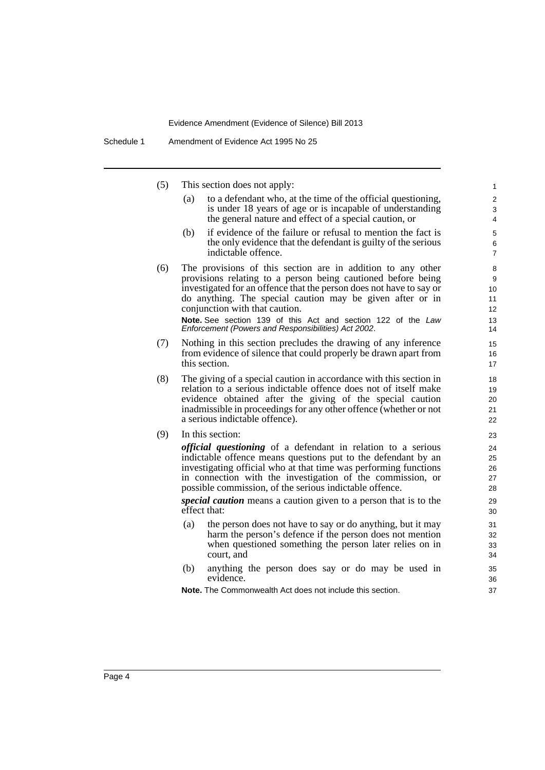(5) This section does not apply:

(a) to a defendant who, at the time of the official questioning, is under 18 years of age or is incapable of understanding the general nature and effect of a special caution, or

- (b) if evidence of the failure or refusal to mention the fact is the only evidence that the defendant is guilty of the serious indictable offence.
- (6) The provisions of this section are in addition to any other provisions relating to a person being cautioned before being investigated for an offence that the person does not have to say or do anything. The special caution may be given after or in conjunction with that caution.

**Note.** See section 139 of this Act and section 122 of the *Law Enforcement (Powers and Responsibilities) Act 2002*.

- (7) Nothing in this section precludes the drawing of any inference from evidence of silence that could properly be drawn apart from this section.
- (8) The giving of a special caution in accordance with this section in relation to a serious indictable offence does not of itself make evidence obtained after the giving of the special caution inadmissible in proceedings for any other offence (whether or not a serious indictable offence).
- (9) In this section:

*official questioning* of a defendant in relation to a serious indictable offence means questions put to the defendant by an investigating official who at that time was performing functions in connection with the investigation of the commission, or possible commission, of the serious indictable offence.

*special caution* means a caution given to a person that is to the effect that:

- (a) the person does not have to say or do anything, but it may harm the person's defence if the person does not mention when questioned something the person later relies on in court, and
- (b) anything the person does say or do may be used in evidence.

**Note.** The Commonwealth Act does not include this section.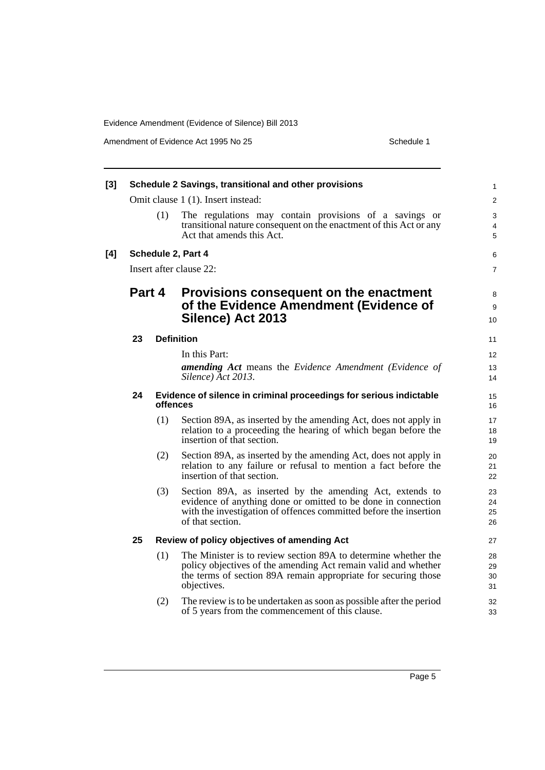Amendment of Evidence Act 1995 No 25 Schedule 1

| $[3]$ | Schedule 2 Savings, transitional and other provisions |     |                                                                                                                                                                                                                    |                         |  |  |  |  |
|-------|-------------------------------------------------------|-----|--------------------------------------------------------------------------------------------------------------------------------------------------------------------------------------------------------------------|-------------------------|--|--|--|--|
|       |                                                       |     | Omit clause 1 (1). Insert instead:                                                                                                                                                                                 | $\overline{\mathbf{c}}$ |  |  |  |  |
|       |                                                       | (1) | The regulations may contain provisions of a savings or<br>transitional nature consequent on the enactment of this Act or any<br>Act that amends this Act.                                                          | 3<br>4<br>5             |  |  |  |  |
| [4]   | Schedule 2, Part 4                                    |     |                                                                                                                                                                                                                    |                         |  |  |  |  |
|       | Insert after clause 22:                               |     |                                                                                                                                                                                                                    |                         |  |  |  |  |
|       | Part 4                                                |     | Provisions consequent on the enactment<br>of the Evidence Amendment (Evidence of<br>Silence) Act 2013                                                                                                              |                         |  |  |  |  |
|       | 23                                                    |     | <b>Definition</b>                                                                                                                                                                                                  | 11                      |  |  |  |  |
|       |                                                       |     | In this Part:                                                                                                                                                                                                      | 12                      |  |  |  |  |
|       |                                                       |     | <b>amending Act</b> means the Evidence Amendment (Evidence of<br>Silence) Act 2013.                                                                                                                                | 13<br>14                |  |  |  |  |
|       | 24                                                    |     | Evidence of silence in criminal proceedings for serious indictable<br>offences                                                                                                                                     | 15<br>16                |  |  |  |  |
|       |                                                       | (1) | Section 89A, as inserted by the amending Act, does not apply in<br>relation to a proceeding the hearing of which began before the<br>insertion of that section.                                                    | 17<br>18<br>19          |  |  |  |  |
|       |                                                       | (2) | Section 89A, as inserted by the amending Act, does not apply in<br>relation to any failure or refusal to mention a fact before the<br>insertion of that section.                                                   | 20<br>21<br>22          |  |  |  |  |
|       |                                                       | (3) | Section 89A, as inserted by the amending Act, extends to<br>evidence of anything done or omitted to be done in connection<br>with the investigation of offences committed before the insertion<br>of that section. | 23<br>24<br>25<br>26    |  |  |  |  |
|       | 25                                                    |     | Review of policy objectives of amending Act                                                                                                                                                                        | 27                      |  |  |  |  |
|       |                                                       | (1) | The Minister is to review section 89A to determine whether the<br>policy objectives of the amending Act remain valid and whether<br>the terms of section 89A remain appropriate for securing those<br>objectives.  | 28<br>29<br>30<br>31    |  |  |  |  |
|       |                                                       | (2) | The review is to be undertaken as soon as possible after the period<br>of 5 years from the commencement of this clause.                                                                                            | 32<br>33                |  |  |  |  |